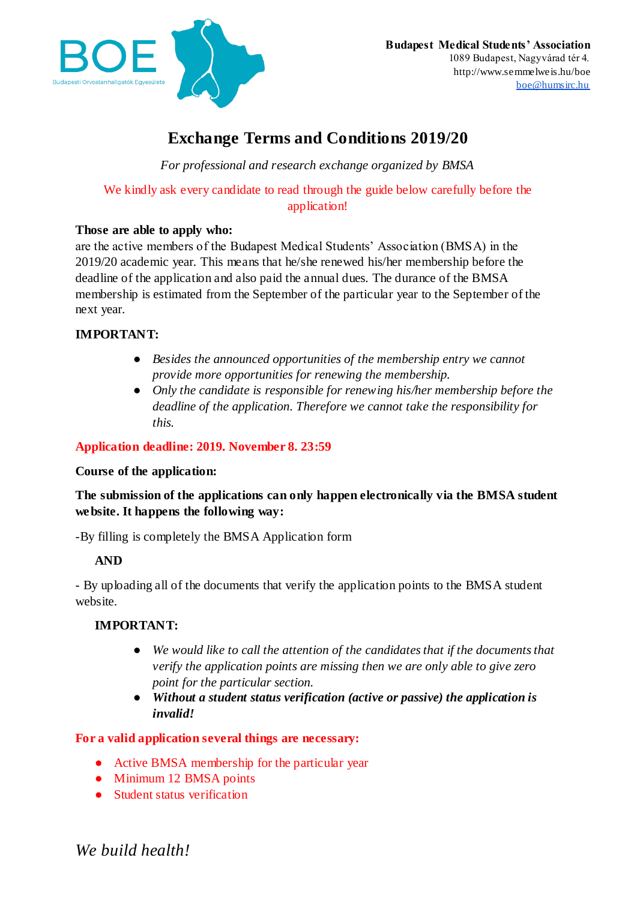

# **Exchange Terms and Conditions 2019/20**

*For professional and research exchange organized by BMSA*

We kindly ask every candidate to read through the guide below carefully before the application!

# **Those are able to apply who:**

are the active members of the Budapest Medical Students' Association (BMSA) in the 2019/20 academic year. This means that he/she renewed his/her membership before the deadline of the application and also paid the annual dues. The durance of the BMSA membership is estimated from the September of the particular year to the September of the next year.

# **IMPORTANT:**

- *Besides the announced opportunities of the membership entry we cannot provide more opportunities for renewing the membership.*
- *Only the candidate is responsible for renewing his/her membership before the deadline of the application. Therefore we cannot take the responsibility for this.*

# **Application deadline: 2019. November 8. 23:59**

# **Course of the application:**

# **The submission of the applications can only happen electronically via the BMSA student website. It happens the following way:**

-By filling is completely the BMSA Application form

# **AND**

- By uploading all of the documents that verify the application points to the BMSA student website.

# **IMPORTANT:**

- *We would like to call the attention of the candidates that if the documents that verify the application points are missing then we are only able to give zero point for the particular section.*
- *Without a student status verification (active or passive) the application is invalid!*

# **For a valid application several things are necessary:**

- Active BMSA membership for the particular year
- Minimum 12 BMSA points
- Student status verification

*We build health!*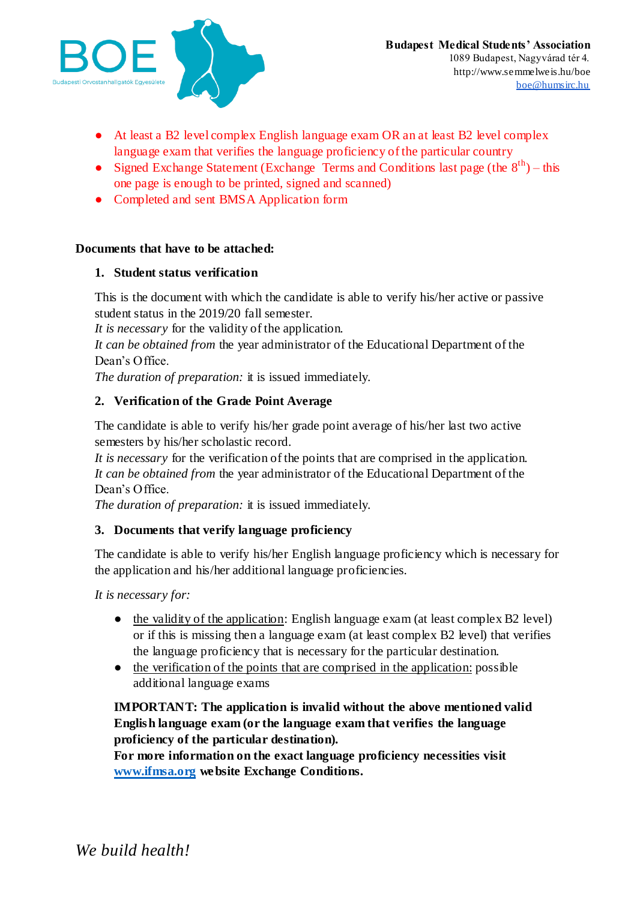

- At least a B2 level complex English language exam OR an at least B2 level complex language exam that verifies the language proficiency of the particular country
- Signed Exchange Statement (Exchange Terms and Conditions last page (the  $8<sup>th</sup>$ ) this one page is enough to be printed, signed and scanned)
- Completed and sent BMSA Application form

#### **Documents that have to be attached:**

#### **1. Student status verification**

This is the document with which the candidate is able to verify his/her active or passive student status in the 2019/20 fall semester.

*It is necessary* for the validity of the application.

*It can be obtained from* the year administrator of the Educational Department of the Dean's Office.

*The duration of preparation:* it is issued immediately.

# **2. Verification of the Grade Point Average**

The candidate is able to verify his/her grade point average of his/her last two active semesters by his/her scholastic record.

*It is necessary* for the verification of the points that are comprised in the application. *It can be obtained from* the year administrator of the Educational Department of the Dean's Office.

*The duration of preparation:* it is issued immediately.

# **3. Documents that verify language proficiency**

The candidate is able to verify his/her English language proficiency which is necessary for the application and his/her additional language proficiencies.

*It is necessary for:*

- the validity of the application: English language exam (at least complex B2 level) or if this is missing then a language exam (at least complex B2 level) that verifies the language proficiency that is necessary for the particular destination.
- the verification of the points that are comprised in the application: possible additional language exams

**IMPORTANT: The application is invalid without the above mentioned valid English language exam (or the language exam that verifies the language proficiency of the particular destination).**

**For more information on the exact language proficiency necessities visit [www.ifmsa.org](http://www.ifmsa.org/) website Exchange Conditions.**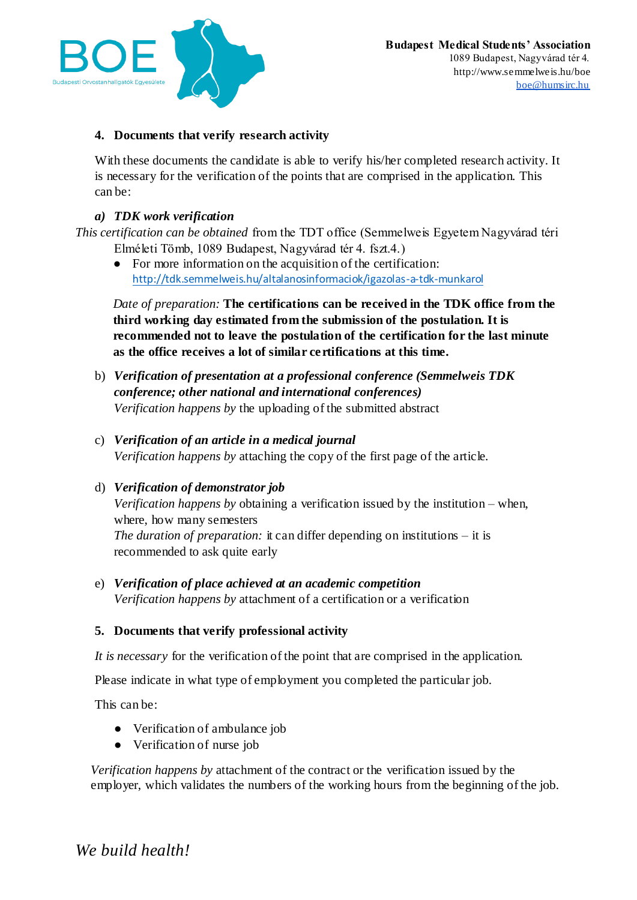

# **4. Documents that verify research activity**

With these documents the candidate is able to verify his/her completed research activity. It is necessary for the verification of the points that are comprised in the application. This can be:

### *a) TDK work verification*

*This certification can be obtained* from the TDT office (Semmelweis Egyetem Nagyvárad téri Elméleti Tömb, 1089 Budapest, Nagyvárad tér 4. fszt.4.)

● For more information on the acquisition of the certification: <http://tdk.semmelweis.hu/altalanosinformaciok/igazolas-a-tdk-munkarol>

*Date of preparation:* **The certifications can be received in the TDK office from the third working day estimated from the submission of the postulation. It is recommended not to leave the postulation of the certification for the last minute as the office receives a lot of similar certifications at this time.**

- b) *Verification of presentation at a professional conference (Semmelweis TDK conference; other national and international conferences) Verification happens by* the uploading of the submitted abstract
- c) *Verification of an article in a medical journal Verification happens by* attaching the copy of the first page of the article.
- d) *Verification of demonstrator job Verification happens by* obtaining a verification issued by the institution – when, where, how many semesters *The duration of preparation:* it can differ depending on institutions – it is recommended to ask quite early
- e) *Verification of place achieved at an academic competition Verification happens by* attachment of a certification or a verification

# **5. Documents that verify professional activity**

*It is necessary* for the verification of the point that are comprised in the application.

Please indicate in what type of employment you completed the particular job.

This can be:

- Verification of ambulance job
- Verification of nurse job

*Verification happens by* attachment of the contract or the verification issued by the employer, which validates the numbers of the working hours from the beginning of the job.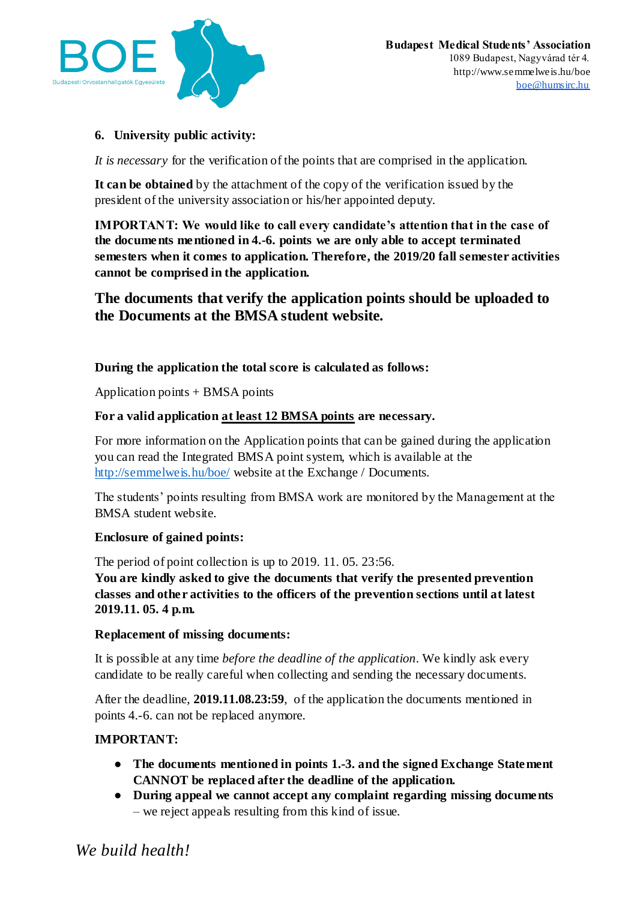

# **6. University public activity:**

*It is necessary* for the verification of the points that are comprised in the application.

**It can be obtained** by the attachment of the copy of the verification issued by the president of the university association or his/her appointed deputy.

**IMPORTANT: We would like to call every candidate's attention that in the case of the documents mentioned in 4.-6. points we are only able to accept terminated semesters when it comes to application. Therefore, the 2019/20 fall semester activities cannot be comprised in the application.**

**The documents that verify the application points should be uploaded to the Documents at the BMSA student website.**

# **During the application the total score is calculated as follows:**

Application points + BMSA points

# **For a valid application at least 12 BMSA points are necessary.**

For more information on the Application points that can be gained during the application you can read the Integrated BMSA point system, which is available at the <http://semmelweis.hu/boe/> website at the Exchange / Documents.

The students' points resulting from BMSA work are monitored by the Management at the BMSA student website.

# **Enclosure of gained points:**

The period of point collection is up to 2019. 11. 05. 23:56.

**You are kindly asked to give the documents that verify the presented prevention classes and other activities to the officers of the prevention sections until at latest 2019.11. 05. 4 p.m.**

#### **Replacement of missing documents:**

It is possible at any time *before the deadline of the application*. We kindly ask every candidate to be really careful when collecting and sending the necessary documents.

After the deadline, **2019.11.08.23:59**, of the application the documents mentioned in points 4.-6. can not be replaced anymore.

# **IMPORTANT:**

- **The documents mentioned in points 1.-3. and the signed Exchange Statement CANNOT be replaced after the deadline of the application.**
- **During appeal we cannot accept any complaint regarding missing documents** – we reject appeals resulting from this kind of issue.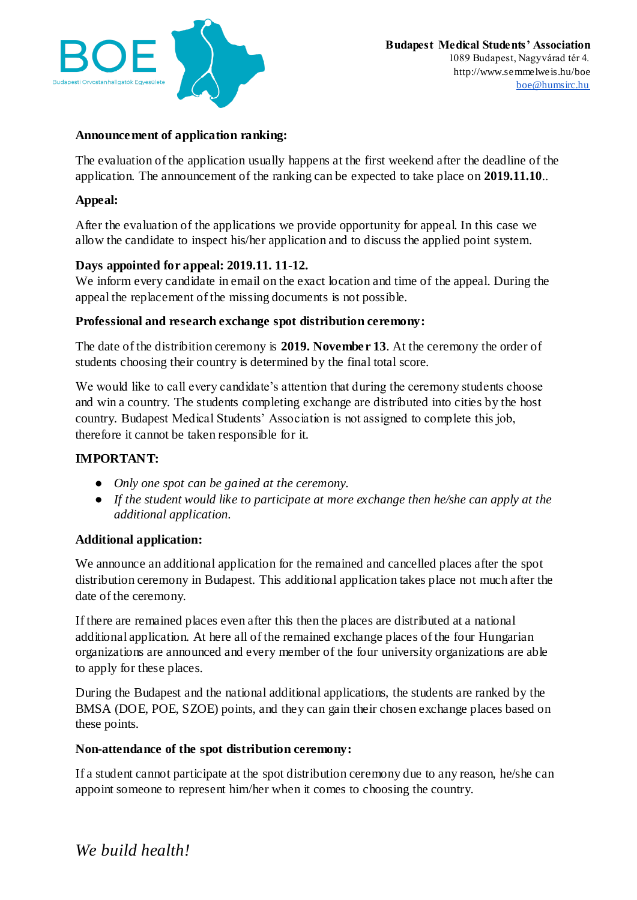

### **Announcement of application ranking:**

The evaluation of the application usually happens at the first weekend after the deadline of the application. The announcement of the ranking can be expected to take place on **2019.11.10**..

### **Appeal:**

After the evaluation of the applications we provide opportunity for appeal. In this case we allow the candidate to inspect his/her application and to discuss the applied point system.

#### **Days appointed for appeal: 2019.11. 11-12.**

We inform every candidate in email on the exact location and time of the appeal. During the appeal the replacement of the missing documents is not possible.

#### **Professional and research exchange spot distribution ceremony:**

The date of the distribition ceremony is **2019. November 13**. At the ceremony the order of students choosing their country is determined by the final total score.

We would like to call every candidate's attention that during the ceremony students choose and win a country. The students completing exchange are distributed into cities by the host country. Budapest Medical Students' Association is not assigned to complete this job, therefore it cannot be taken responsible for it.

#### **IMPORTANT:**

- *Only one spot can be gained at the ceremony.*
- *If the student would like to participate at more exchange then he/she can apply at the additional application.*

#### **Additional application:**

We announce an additional application for the remained and cancelled places after the spot distribution ceremony in Budapest. This additional application takes place not much after the date of the ceremony.

If there are remained places even after this then the places are distributed at a national additional application. At here all of the remained exchange places of the four Hungarian organizations are announced and every member of the four university organizations are able to apply for these places.

During the Budapest and the national additional applications, the students are ranked by the BMSA (DOE, POE, SZOE) points, and they can gain their chosen exchange places based on these points.

#### **Non-attendance of the spot distribution ceremony:**

If a student cannot participate at the spot distribution ceremony due to any reason, he/she can appoint someone to represent him/her when it comes to choosing the country.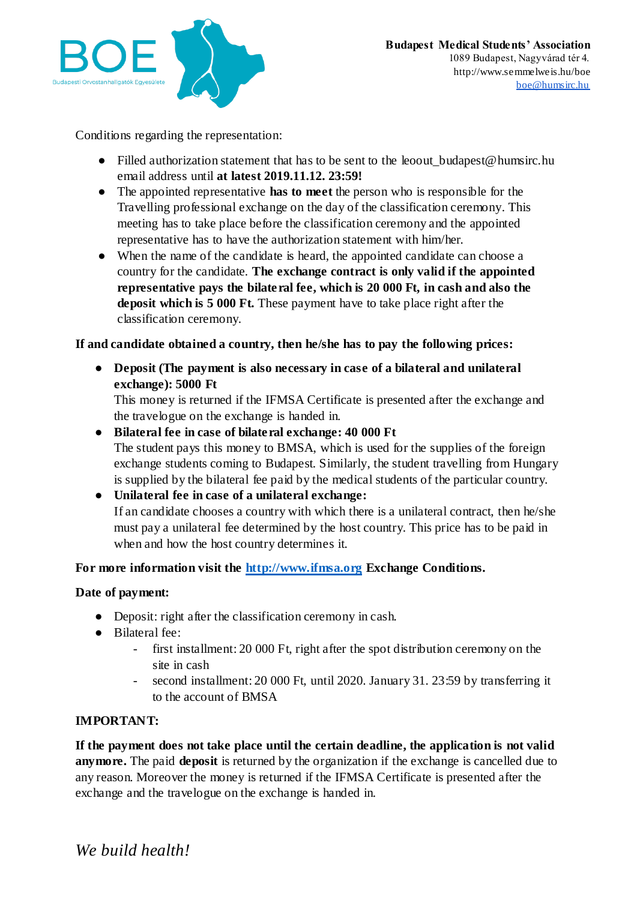

Conditions regarding the representation:

- Filled authorization statement that has to be sent to the leoout budapest@humsirc.hu email address until **at latest 2019.11.12. 23:59!**
- The appointed representative **has to meet** the person who is responsible for the Travelling professional exchange on the day of the classification ceremony. This meeting has to take place before the classification ceremony and the appointed representative has to have the authorization statement with him/her.
- When the name of the candidate is heard, the appointed candidate can choose a country for the candidate. **The exchange contract is only valid if the appointed representative pays the bilateral fee, which is 20 000 Ft, in cash and also the deposit which is 5 000 Ft.** These payment have to take place right after the classification ceremony.

# **If and candidate obtained a country, then he/she has to pay the following prices:**

● **Deposit (The payment is also necessary in case of a bilateral and unilateral exchange): 5000 Ft**

This money is returned if the IFMSA Certificate is presented after the exchange and the travelogue on the exchange is handed in.

● **Bilateral fee in case of bilateral exchange: 40 000 Ft** The student pays this money to BMSA, which is used for the supplies of the foreign exchange students coming to Budapest. Similarly, the student travelling from Hungary is supplied by the bilateral fee paid by the medical students of the particular country.

● **Unilateral fee in case of a unilateral exchange:** If an candidate chooses a country with which there is a unilateral contract, then he/she must pay a unilateral fee determined by the host country. This price has to be paid in when and how the host country determines it.

# **For more information visit the [http://www.ifmsa.org](http://www.ifmsa.org/) Exchange Conditions.**

# **Date of payment:**

- Deposit: right after the classification ceremony in cash.
- Bilateral fee:
	- first installment: 20 000 Ft, right after the spot distribution ceremony on the site in cash
	- second installment: 20 000 Ft, until 2020. January 31. 23:59 by transferring it to the account of BMSA

# **IMPORTANT:**

**If the payment does not take place until the certain deadline, the application is not valid anymore.** The paid **deposit** is returned by the organization if the exchange is cancelled due to any reason. Moreover the money is returned if the IFMSA Certificate is presented after the exchange and the travelogue on the exchange is handed in.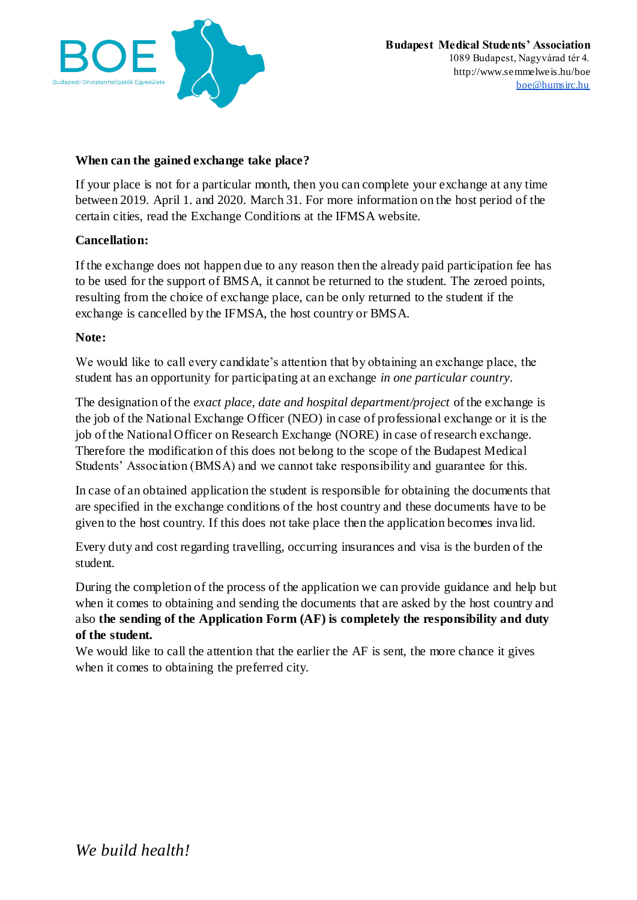

### **When can the gained exchange take place?**

If your place is not for a particular month, then you can complete your exchange at any time between 2019. April 1. and 2020. March 31. For more information on the host period of the certain cities, read the Exchange Conditions at the IFMSA website.

#### **Cancellation:**

If the exchange does not happen due to any reason then the already paid participation fee has to be used for the support of BMSA, it cannot be returned to the student. The zeroed points, resulting from the choice of exchange place, can be only returned to the student if the exchange is cancelled by the IFMSA, the host country or BMSA.

#### **Note:**

We would like to call every candidate's attention that by obtaining an exchange place, the student has an opportunity for participating at an exchange *in one particular country*.

The designation of the *exact place, date and hospital department/project* of the exchange is the job of the National Exchange Officer (NEO) in case of professional exchange or it is the job of the National Officer on Research Exchange (NORE) in case of research exchange. Therefore the modification of this does not belong to the scope of the Budapest Medical Students' Association (BMSA) and we cannot take responsibility and guarantee for this.

In case of an obtained application the student is responsible for obtaining the documents that are specified in the exchange conditions of the host country and these documents have to be given to the host country. If this does not take place then the application becomes inva lid.

Every duty and cost regarding travelling, occurring insurances and visa is the burden of the student.

During the completion of the process of the application we can provide guidance and help but when it comes to obtaining and sending the documents that are asked by the host country and also **the sending of the Application Form (AF) is completely the responsibility and duty of the student.**

We would like to call the attention that the earlier the AF is sent, the more chance it gives when it comes to obtaining the preferred city.